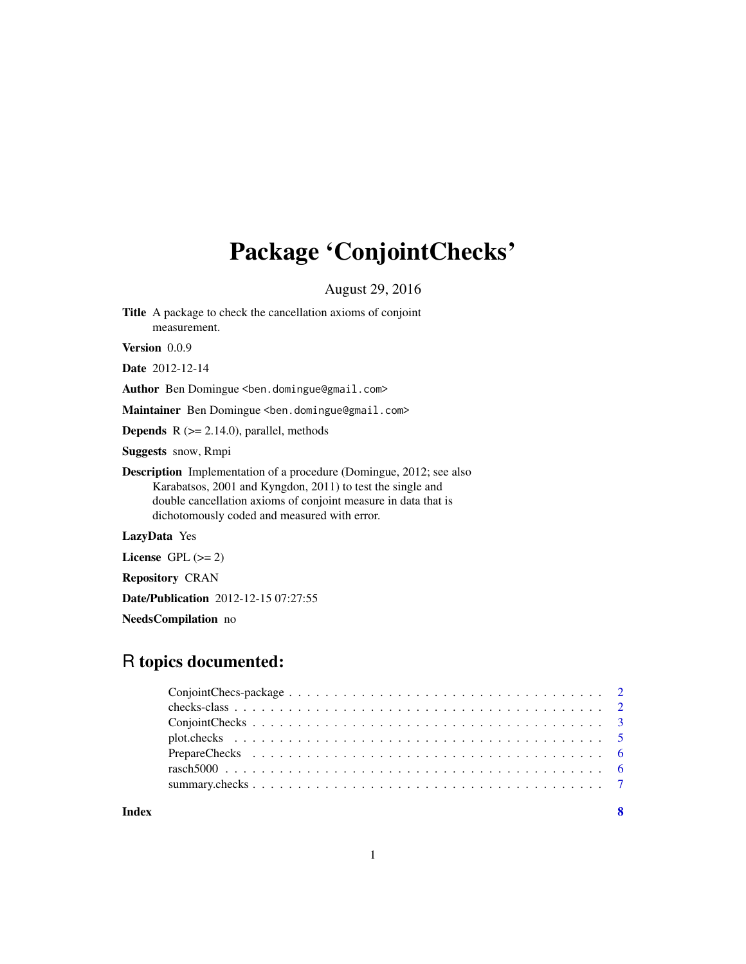## Package 'ConjointChecks'

August 29, 2016

Title A package to check the cancellation axioms of conjoint measurement.

Version 0.0.9

Date 2012-12-14

Author Ben Domingue <ben.domingue@gmail.com>

Maintainer Ben Domingue <ben.domingue@gmail.com>

**Depends**  $R$  ( $>= 2.14.0$ ), parallel, methods

Suggests snow, Rmpi

Description Implementation of a procedure (Domingue, 2012; see also Karabatsos, 2001 and Kyngdon, 2011) to test the single and double cancellation axioms of conjoint measure in data that is dichotomously coded and measured with error.

LazyData Yes

License GPL  $(>= 2)$ 

Repository CRAN

Date/Publication 2012-12-15 07:27:55

NeedsCompilation no

## R topics documented:

| Index | $\mathbf{8}$ |
|-------|--------------|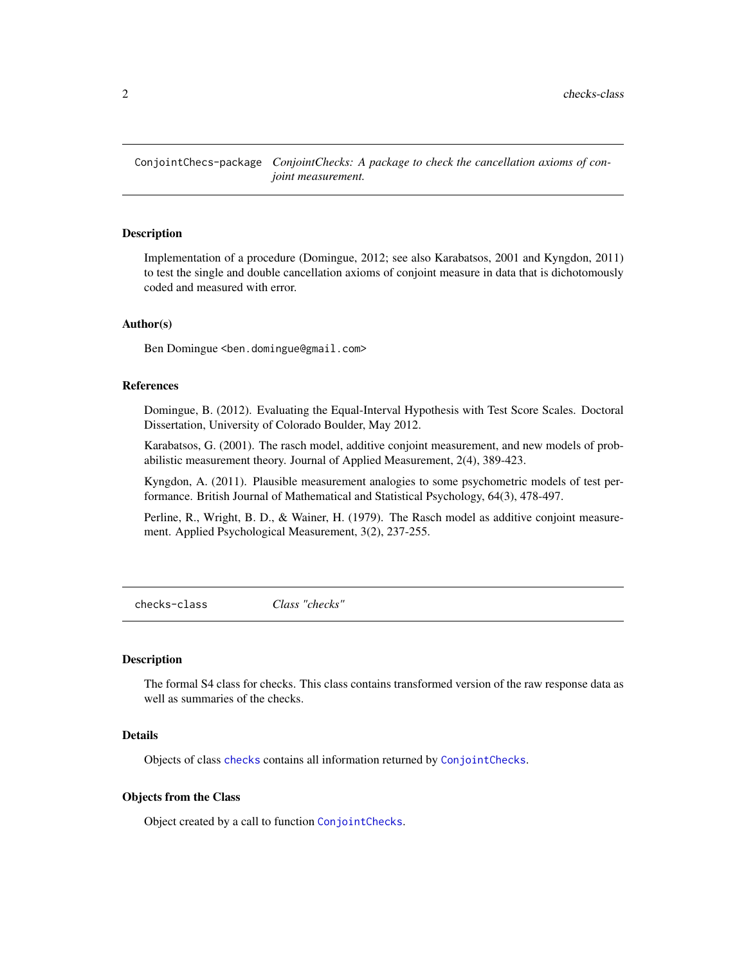<span id="page-1-0"></span>ConjointChecs-package *ConjointChecks: A package to check the cancellation axioms of conjoint measurement.*

#### **Description**

Implementation of a procedure (Domingue, 2012; see also Karabatsos, 2001 and Kyngdon, 2011) to test the single and double cancellation axioms of conjoint measure in data that is dichotomously coded and measured with error.

#### Author(s)

Ben Domingue <ben.domingue@gmail.com>

#### References

Domingue, B. (2012). Evaluating the Equal-Interval Hypothesis with Test Score Scales. Doctoral Dissertation, University of Colorado Boulder, May 2012.

Karabatsos, G. (2001). The rasch model, additive conjoint measurement, and new models of probabilistic measurement theory. Journal of Applied Measurement, 2(4), 389-423.

Kyngdon, A. (2011). Plausible measurement analogies to some psychometric models of test performance. British Journal of Mathematical and Statistical Psychology, 64(3), 478-497.

Perline, R., Wright, B. D., & Wainer, H. (1979). The Rasch model as additive conjoint measurement. Applied Psychological Measurement, 3(2), 237-255.

<span id="page-1-1"></span>checks-class *Class "checks"*

#### Description

The formal S4 class for checks. This class contains transformed version of the raw response data as well as summaries of the checks.

#### Details

Objects of class [checks](#page-1-1) contains all information returned by [ConjointChecks](#page-2-1).

#### Objects from the Class

Object created by a call to function [ConjointChecks](#page-2-1).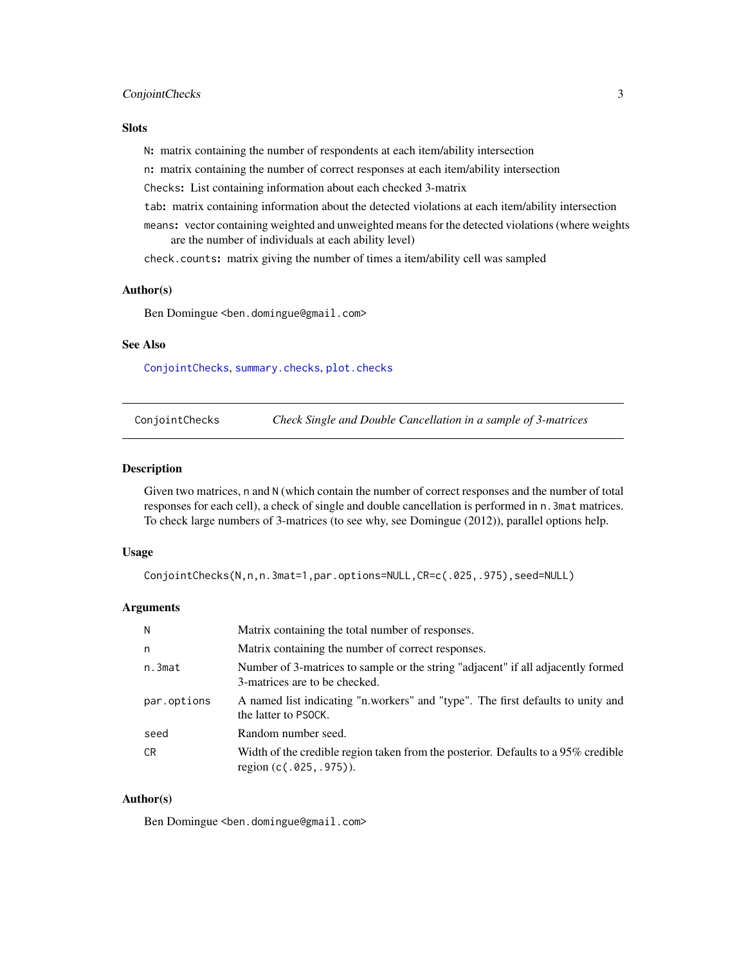## <span id="page-2-0"></span>ConjointChecks 3

#### **Slots**

N: matrix containing the number of respondents at each item/ability intersection

n: matrix containing the number of correct responses at each item/ability intersection

Checks: List containing information about each checked 3-matrix

tab: matrix containing information about the detected violations at each item/ability intersection

means: vector containing weighted and unweighted means for the detected violations (where weights are the number of individuals at each ability level)

check.counts: matrix giving the number of times a item/ability cell was sampled

#### Author(s)

Ben Domingue <ben.domingue@gmail.com>

## See Also

[ConjointChecks](#page-2-1), [summary.checks](#page-6-1), [plot.checks](#page-4-1)

<span id="page-2-1"></span>ConjointChecks *Check Single and Double Cancellation in a sample of 3-matrices*

#### Description

Given two matrices, n and N (which contain the number of correct responses and the number of total responses for each cell), a check of single and double cancellation is performed in n.3mat matrices. To check large numbers of 3-matrices (to see why, see Domingue (2012)), parallel options help.

#### Usage

```
ConjointChecks(N,n,n.3mat=1,par.options=NULL,CR=c(.025,.975),seed=NULL)
```
#### Arguments

| N           | Matrix containing the total number of responses.                                                                  |
|-------------|-------------------------------------------------------------------------------------------------------------------|
| n           | Matrix containing the number of correct responses.                                                                |
| n.3mat      | Number of 3-matrices to sample or the string "adjacent" if all adjacently formed<br>3-matrices are to be checked. |
| par.options | A named list indicating "n workers" and "type". The first defaults to unity and<br>the latter to PSOCK.           |
| seed        | Random number seed.                                                                                               |
| CR.         | Width of the credible region taken from the posterior. Defaults to a 95% credible<br>region $(c(.025,.975))$ .    |

## Author(s)

Ben Domingue <ben.domingue@gmail.com>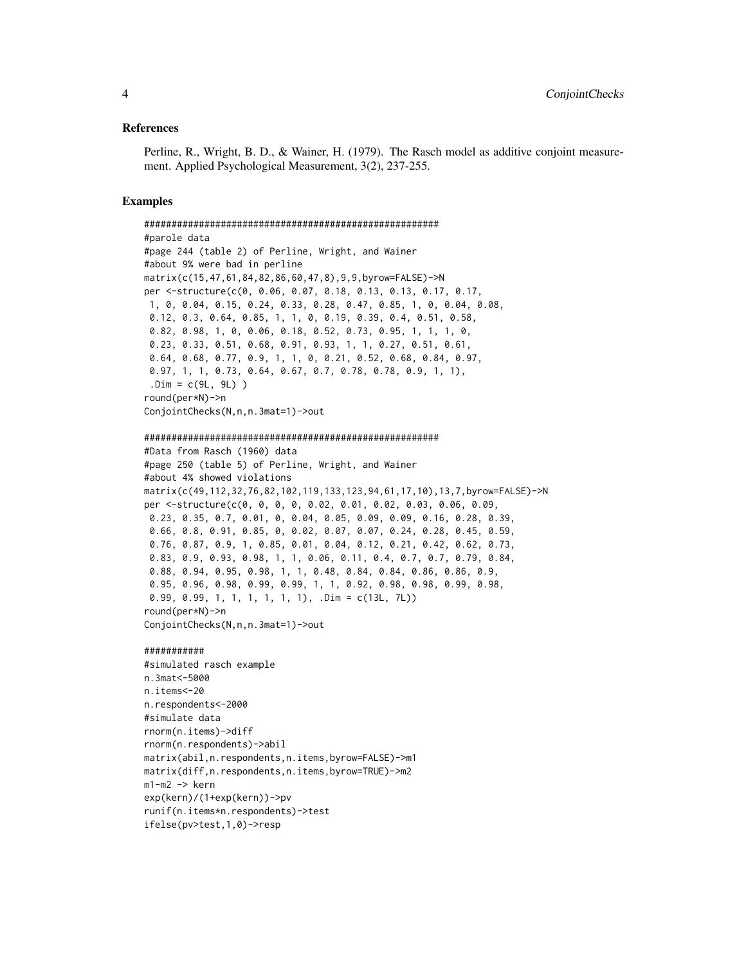#### References

Perline, R., Wright, B. D., & Wainer, H. (1979). The Rasch model as additive conjoint measurement. Applied Psychological Measurement, 3(2), 237-255.

#### Examples

```
######################################################
#parole data
#page 244 (table 2) of Perline, Wright, and Wainer
#about 9% were bad in perline
matrix(c(15,47,61,84,82,86,60,47,8),9,9,byrow=FALSE)->N
per <-structure(c(0, 0.06, 0.07, 0.18, 0.13, 0.13, 0.17, 0.17,
1, 0, 0.04, 0.15, 0.24, 0.33, 0.28, 0.47, 0.85, 1, 0, 0.04, 0.08,
0.12, 0.3, 0.64, 0.85, 1, 1, 0, 0.19, 0.39, 0.4, 0.51, 0.58,
0.82, 0.98, 1, 0, 0.06, 0.18, 0.52, 0.73, 0.95, 1, 1, 1, 0,
0.23, 0.33, 0.51, 0.68, 0.91, 0.93, 1, 1, 0.27, 0.51, 0.61,
0.64, 0.68, 0.77, 0.9, 1, 1, 0, 0.21, 0.52, 0.68, 0.84, 0.97,
0.97, 1, 1, 0.73, 0.64, 0.67, 0.7, 0.78, 0.78, 0.9, 1, 1),
 Dim = c(9L, 9L)round(per*N)->n
ConjointChecks(N,n,n.3mat=1)->out
```
######################################################

```
#Data from Rasch (1960) data
#page 250 (table 5) of Perline, Wright, and Wainer
#about 4% showed violations
matrix(c(49,112,32,76,82,102,119,133,123,94,61,17,10),13,7,byrow=FALSE)->N
per <-structure(c(0, 0, 0, 0, 0.02, 0.01, 0.02, 0.03, 0.06, 0.09,
0.23, 0.35, 0.7, 0.01, 0, 0.04, 0.05, 0.09, 0.09, 0.16, 0.28, 0.39,
0.66, 0.8, 0.91, 0.85, 0, 0.02, 0.07, 0.07, 0.24, 0.28, 0.45, 0.59,
0.76, 0.87, 0.9, 1, 0.85, 0.01, 0.04, 0.12, 0.21, 0.42, 0.62, 0.73,
0.83, 0.9, 0.93, 0.98, 1, 1, 0.06, 0.11, 0.4, 0.7, 0.7, 0.79, 0.84,
0.88, 0.94, 0.95, 0.98, 1, 1, 0.48, 0.84, 0.84, 0.86, 0.86, 0.9,
0.95, 0.96, 0.98, 0.99, 0.99, 1, 1, 0.92, 0.98, 0.98, 0.99, 0.98,
0.99, 0.99, 1, 1, 1, 1, 1, 1), .Dim = c(13L, 7L))
round(per*N)->n
ConjointChecks(N,n,n.3mat=1)->out
```
#### ###########

```
#simulated rasch example
n.3mat<-5000
n.items<-20
n.respondents<-2000
#simulate data
rnorm(n.items)->diff
rnorm(n.respondents)->abil
matrix(abil,n.respondents,n.items,byrow=FALSE)->m1
matrix(diff,n.respondents,n.items,byrow=TRUE)->m2
m1-m2 -> kern
exp(kern)/(1+exp(kern))->pv
runif(n.items*n.respondents)->test
ifelse(pv>test,1,0)->resp
```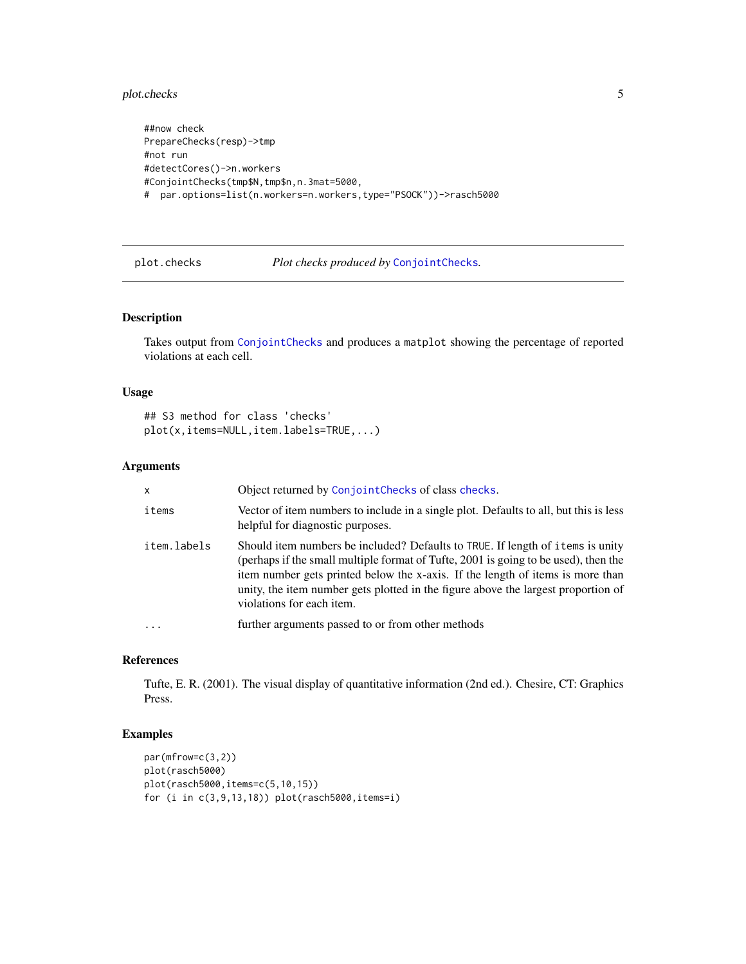## <span id="page-4-0"></span>plot.checks 5

```
##now check
PrepareChecks(resp)->tmp
#not run
#detectCores()->n.workers
#ConjointChecks(tmp$N,tmp$n,n.3mat=5000,
# par.options=list(n.workers=n.workers,type="PSOCK"))->rasch5000
```
<span id="page-4-1"></span>

plot.checks *Plot checks produced by* [ConjointChecks](#page-2-1)*.*

#### Description

Takes output from [ConjointChecks](#page-2-1) and produces a matplot showing the percentage of reported violations at each cell.

#### Usage

## S3 method for class 'checks' plot(x,items=NULL,item.labels=TRUE,...)

#### Arguments

| $\mathsf{x}$ | Object returned by ConjointChecks of class checks.                                                                                                                                                                                                                                                                                                                        |
|--------------|---------------------------------------------------------------------------------------------------------------------------------------------------------------------------------------------------------------------------------------------------------------------------------------------------------------------------------------------------------------------------|
| items        | Vector of item numbers to include in a single plot. Defaults to all, but this is less<br>helpful for diagnostic purposes.                                                                                                                                                                                                                                                 |
| item.labels  | Should item numbers be included? Defaults to TRUE. If length of items is unity<br>(perhaps if the small multiple format of Tufte, 2001 is going to be used), then the<br>item number gets printed below the x-axis. If the length of items is more than<br>unity, the item number gets plotted in the figure above the largest proportion of<br>violations for each item. |
|              | further arguments passed to or from other methods                                                                                                                                                                                                                                                                                                                         |

#### References

Tufte, E. R. (2001). The visual display of quantitative information (2nd ed.). Chesire, CT: Graphics Press.

## Examples

```
par(mfrow=c(3,2))
plot(rasch5000)
plot(rasch5000,items=c(5,10,15))
for (i in c(3,9,13,18)) plot(rasch5000,items=i)
```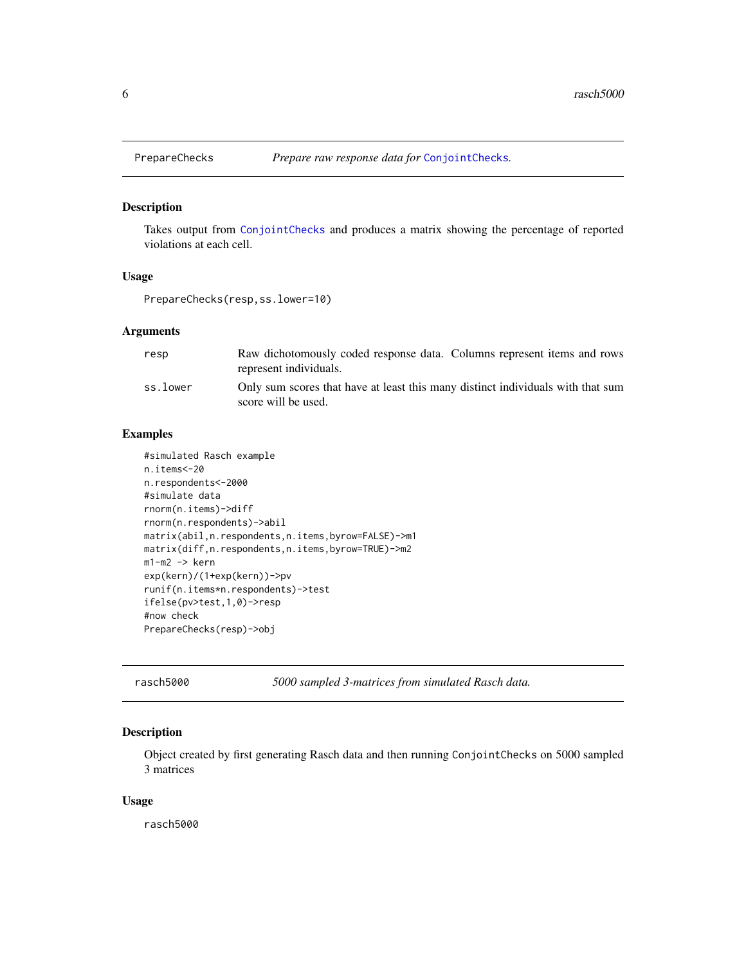<span id="page-5-0"></span>

## Description

Takes output from [ConjointChecks](#page-2-1) and produces a matrix showing the percentage of reported violations at each cell.

#### Usage

PrepareChecks(resp,ss.lower=10)

#### Arguments

| resp     | Raw dichotomously coded response data. Columns represent items and rows<br>represent individuals.      |
|----------|--------------------------------------------------------------------------------------------------------|
| ss.lower | Only sum scores that have at least this many distinct individuals with that sum<br>score will be used. |

#### Examples

```
#simulated Rasch example
n.items<-20
n.respondents<-2000
#simulate data
rnorm(n.items)->diff
rnorm(n.respondents)->abil
matrix(abil,n.respondents,n.items,byrow=FALSE)->m1
matrix(diff,n.respondents,n.items,byrow=TRUE)->m2
m1-m2 -> kern
exp(kern)/(1+exp(kern))->pv
runif(n.items*n.respondents)->test
ifelse(pv>test,1,0)->resp
#now check
PrepareChecks(resp)->obj
```
rasch5000 *5000 sampled 3-matrices from simulated Rasch data.*

#### Description

Object created by first generating Rasch data and then running ConjointChecks on 5000 sampled 3 matrices

#### Usage

rasch5000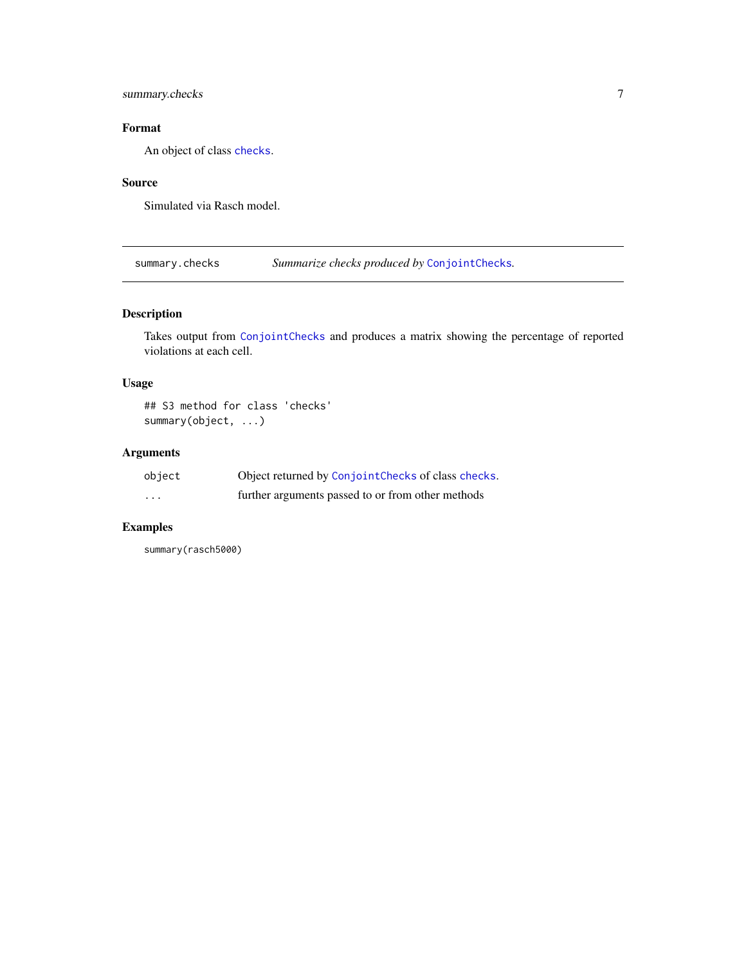## <span id="page-6-0"></span>summary.checks 7

## Format

An object of class [checks](#page-1-1).

## Source

Simulated via Rasch model.

<span id="page-6-1"></span>summary.checks *Summarize checks produced by* [ConjointChecks](#page-2-1)*.*

## Description

Takes output from [ConjointChecks](#page-2-1) and produces a matrix showing the percentage of reported violations at each cell.

## Usage

## S3 method for class 'checks' summary(object, ...)

## Arguments

| object  | Object returned by ConjointChecks of class checks. |
|---------|----------------------------------------------------|
| $\cdot$ | further arguments passed to or from other methods  |

## Examples

summary(rasch5000)